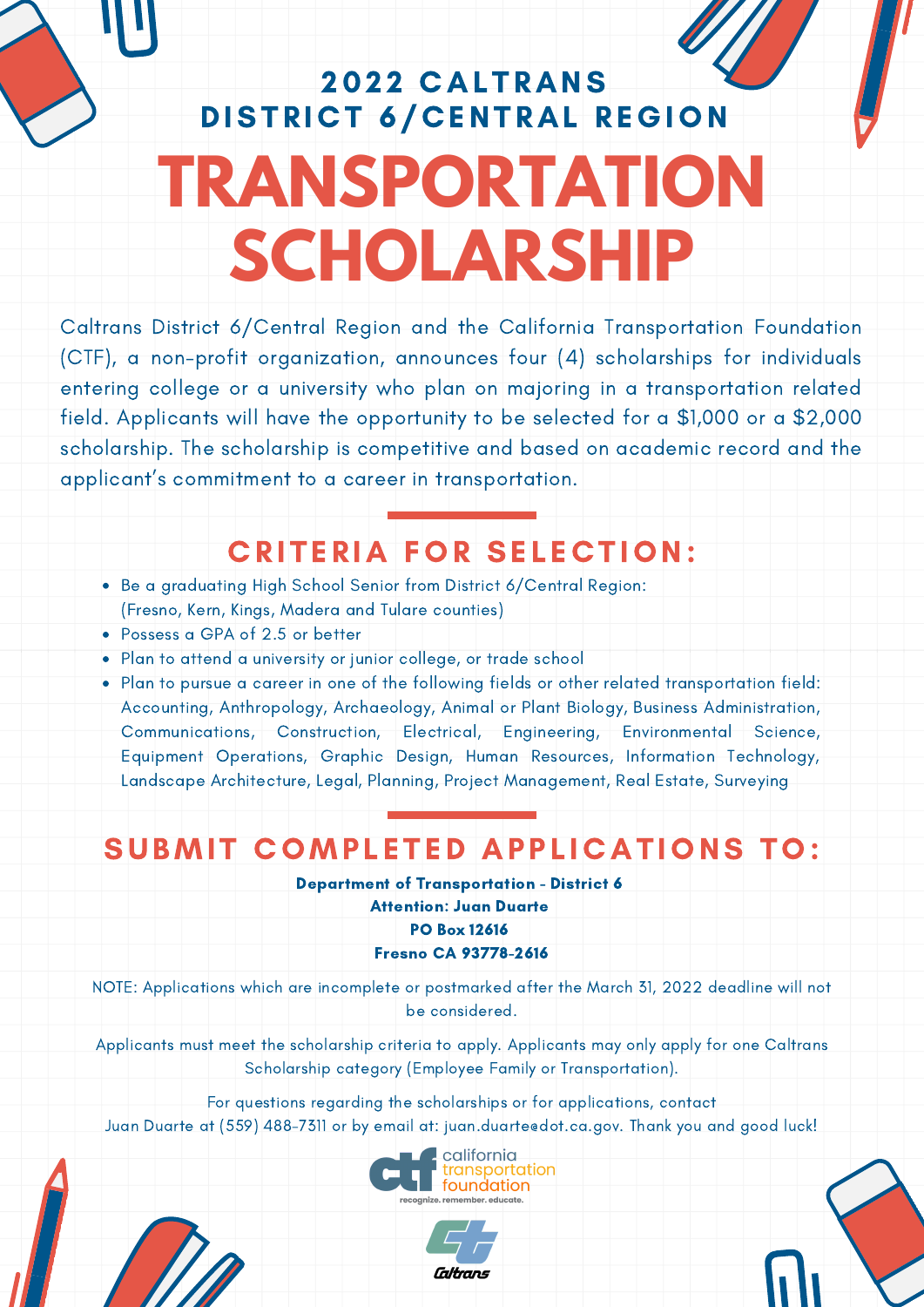## 2022 CALTRANS DISTRICT 6/CENTRAL REGION **TRANSPORTATION SCHOLARSHIP**

 Caltrans District 6/Central Region and the California Transportation Foundation (CTF), a non-profit organization, announces four (4) scholarships for individuals entering college or a university who plan on majoring in a transportation related field. Applicants will have the opportunity to be selected for a \$1,000 or a \$2,000 scholarship. The scholarship is competitive and based on academic record and the applicant's commitment to a career in transportation.

## **CRITERIA FOR SELECTION:**

- (Fresno, Kern, Kings, Madera and Tulare counties) Be a graduating High School Senior from District 6/Central Region:
- Possess a GPA of 2.5 or better
- Plan to attend a university or junior college, or trade school
- Plan to pursue a career in one of the following fields or other related transportation field: Accounting, Anthropology, Archaeology, Animal or Plant Biology, Business Administration, Equipment Operations, Graphic Design, Human Resources, Information Technology, Landscape Architecture, Legal, Planning, Project Management, Real Estate, Surveying Communications, Construction, Electrical, Engineering, Environmental Science,

## SUBMIT COMPLETED APPLICATIONS TO:

Department of Transportation - District 6

 Attention: Juan Duarte PO Box 12616

## Fresno CA 93778-2616

 NOTE: Applications which are incomplete or postmarked after the March 31, 2022 deadline will not be considered.

 Applicants must meet the scholarship criteria to apply. Applicants may only apply for one Caltrans Scholarship category (Employee Family or Transportation).

 For questions regarding the scholarships or for applications, contact Juan Duarte at (559) 488-7311 or by email at: [juan.duarte@dot.ca.gov](mailto:juan.duarte@dot.ca.gov). Thank you and good luck!



Caltrans